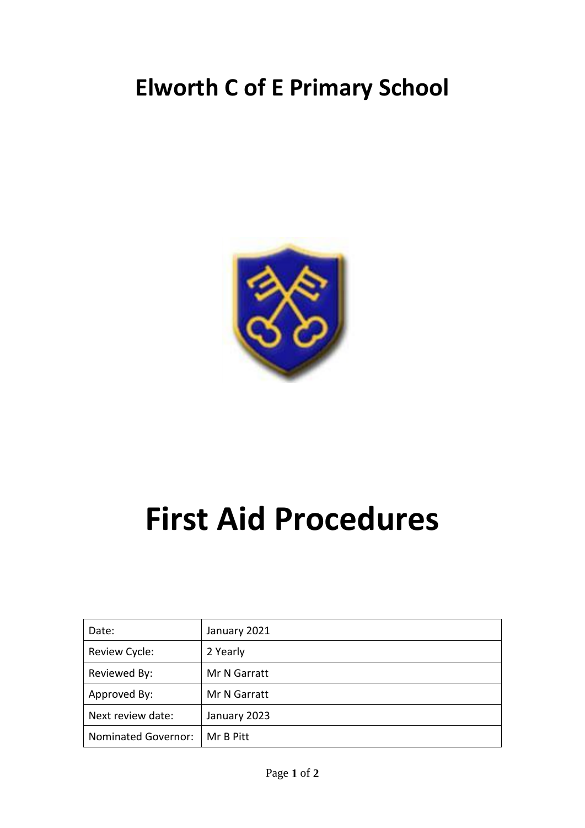## **Elworth C of E Primary School**



## **First Aid Procedures**

| Date:                      | January 2021 |
|----------------------------|--------------|
| Review Cycle:              | 2 Yearly     |
| Reviewed By:               | Mr N Garratt |
| Approved By:               | Mr N Garratt |
| Next review date:          | January 2023 |
| <b>Nominated Governor:</b> | Mr B Pitt    |